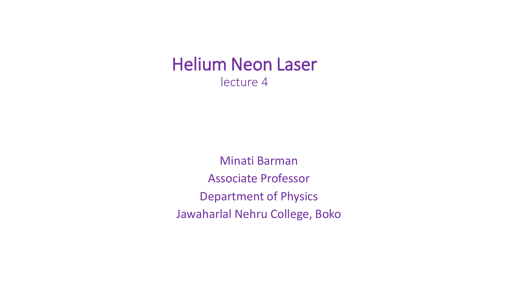# Helium Neon Laser lecture 4

Minati Barman Associate Professor Department of Physics Jawaharlal Nehru College, Boko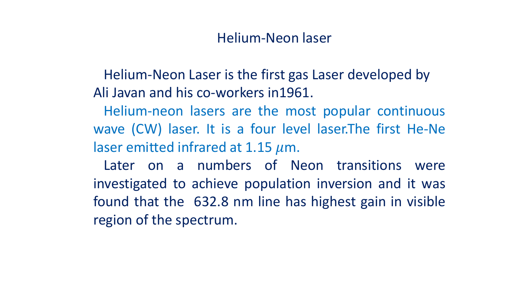### Helium-Neon laser

Helium-Neon Laser is the first gas Laser developed by Ali Javan and his co-workers in1961.

Helium-neon lasers are the most popular continuous wave (CW) laser. It is a four level laser.The first He-Ne laser emitted infrared at 1.15  $\mu$ m.

Later on a numbers of Neon transitions were investigated to achieve population inversion and it was found that the 632.8 nm line has highest gain in visible region of the spectrum.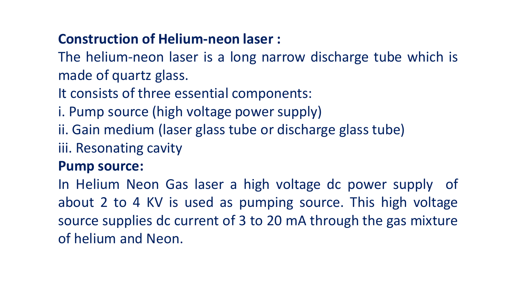# **Construction of Helium-neon laser :**

The helium-neon laser is a long narrow discharge tube which is made of quartz glass.

It consists of three essential components:

- i. Pump source (high voltage power supply)
- ii. Gain medium (laser glass tube or discharge glass tube)
- iii. Resonating cavity

## **Pump source:**

In Helium Neon Gas laser a high voltage dc power supply of about 2 to 4 KV is used as pumping source. This high voltage source supplies dc current of 3 to 20 mA through the gas mixture of helium and Neon.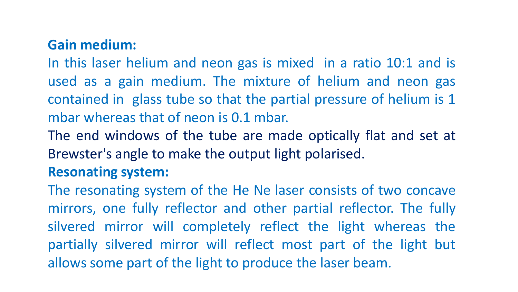# **Gain medium:**

In this laser helium and neon gas is mixed in a ratio 10:1 and is used as a gain medium. The mixture of helium and neon gas contained in glass tube so that the partial pressure of helium is 1 mbar whereas that of neon is 0.1 mbar.

The end windows of the tube are made optically flat and set at Brewster's angle to make the output light polarised.

## **Resonating system:**

The resonating system of the He Ne laser consists of two concave mirrors, one fully reflector and other partial reflector. The fully silvered mirror will completely reflect the light whereas the partially silvered mirror will reflect most part of the light but allows some part of the light to produce the laser beam.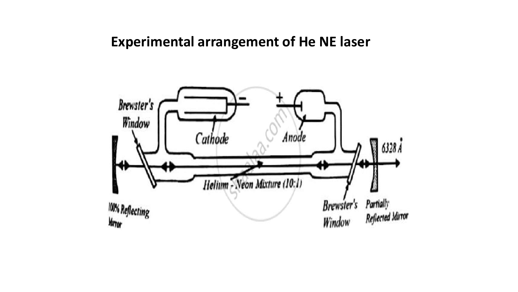#### **Experimental arrangement of He NE laser**

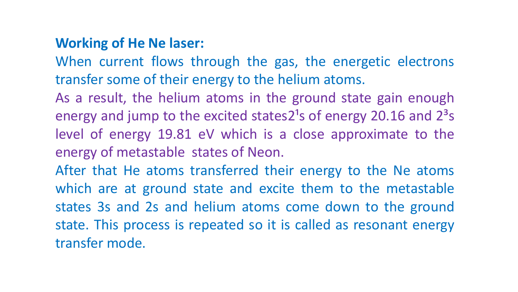### **Working of He Ne laser:**

When current flows through the gas, the energetic electrons transfer some of their energy to the helium atoms.

As a result, the helium atoms in the ground state gain enough energy and jump to the excited states2<sup>1</sup>s of energy 20.16 and  $2<sup>3</sup>$ s level of energy 19.81 eV which is a close approximate to the energy of metastable states of Neon.

After that He atoms transferred their energy to the Ne atoms which are at ground state and excite them to the metastable states 3s and 2s and helium atoms come down to the ground state. This process is repeated so it is called as resonant energy transfer mode.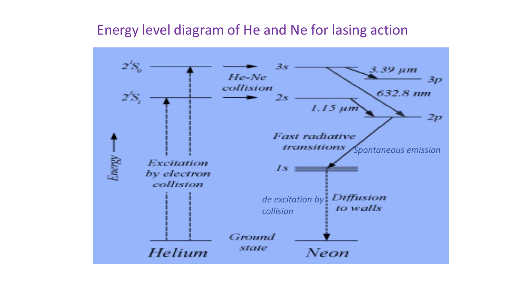### Energy level diagram of He and Ne for lasing action

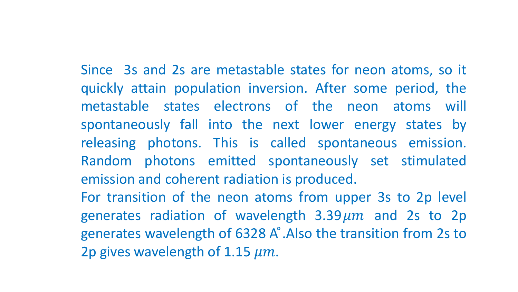Since 3s and 2s are metastable states for neon atoms, so it

quickly attain population inversion. After some period, the metastable states electrons of the neon atoms will spontaneously fall into the next lower energy states by releasing photons. This is called spontaneous emission. Random photons emitted spontaneously set stimulated emission and coherent radiation is produced.

For transition of the neon atoms from upper 3s to 2p level generates radiation of wavelength  $3.39 \mu m$  and 2s to 2p generates wavelength of 6328 A°. Also the transition from 2s to 2p gives wavelength of 1.15  $\mu$ m.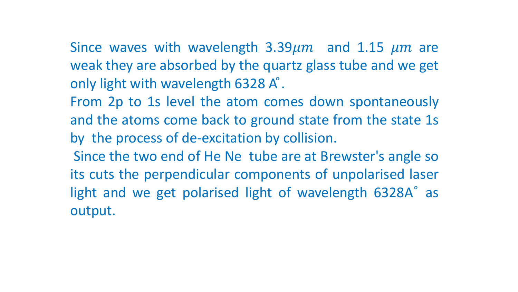Since waves with wavelength  $3.39 \mu m$  and 1.15  $\mu m$  are weak they are absorbed by the quartz glass tube and we get only light with wavelength 6328 A°.

From 2p to 1s level the atom comes down spontaneously and the atoms come back to ground state from the state 1s by the process of de-excitation by collision.

Since the two end of He Ne tube are at Brewster's angle so its cuts the perpendicular components of unpolarised laser light and we get polarised light of wavelength 6328A° as output.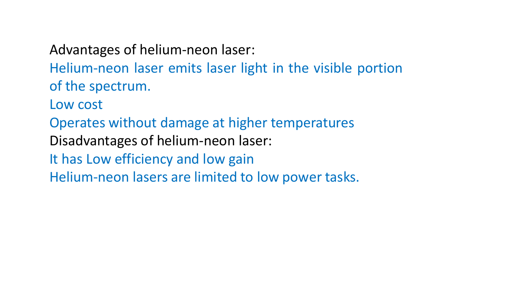Advantages of helium-neon laser: Helium-neon laser emits laser light in the visible portion of the spectrum. Low cost Operates without damage at higher temperatures Disadvantages of helium-neon laser: It has Low efficiency and low gain Helium-neon lasers are limited to low power tasks.